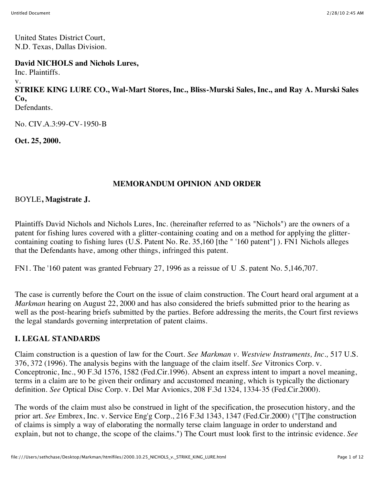United States District Court, N.D. Texas, Dallas Division.

**David NICHOLS and Nichols Lures,**

Inc. Plaintiffs.

v.

**STRIKE KING LURE CO., Wal-Mart Stores, Inc., Bliss-Murski Sales, Inc., and Ray A. Murski Sales Co,** Defendants.

No. CIV.A.3:99-CV-1950-B

**Oct. 25, 2000.**

# **MEMORANDUM OPINION AND ORDER**

### BOYLE**, Magistrate J.**

Plaintiffs David Nichols and Nichols Lures, Inc. (hereinafter referred to as "Nichols") are the owners of a patent for fishing lures covered with a glitter-containing coating and on a method for applying the glittercontaining coating to fishing lures (U.S. Patent No. Re. 35,160 [the " '160 patent"] ). FN1 Nichols alleges that the Defendants have, among other things, infringed this patent.

FN1. The '160 patent was granted February 27, 1996 as a reissue of U .S. patent No. 5,146,707.

The case is currently before the Court on the issue of claim construction. The Court heard oral argument at a *Markman* hearing on August 22, 2000 and has also considered the briefs submitted prior to the hearing as well as the post-hearing briefs submitted by the parties. Before addressing the merits, the Court first reviews the legal standards governing interpretation of patent claims.

## **I. LEGAL STANDARDS**

Claim construction is a question of law for the Court. *See Markman v. Westview Instruments, Inc.,* 517 U.S. 376, 372 (1996). The analysis begins with the language of the claim itself. *See* Vitronics Corp. v. Conceptronic, Inc., 90 F.3d 1576, 1582 (Fed.Cir.1996). Absent an express intent to impart a novel meaning, terms in a claim are to be given their ordinary and accustomed meaning, which is typically the dictionary definition. *See* Optical Disc Corp. v. Del Mar Avionics, 208 F.3d 1324, 1334-35 (Fed.Cir.2000).

The words of the claim must also be construed in light of the specification, the prosecution history, and the prior art. *See* Embrex, Inc. v. Service Eng'g Corp., 216 F.3d 1343, 1347 (Fed.Cir.2000) ("[T]he construction of claims is simply a way of elaborating the normally terse claim language in order to understand and explain, but not to change, the scope of the claims.") The Court must look first to the intrinsic evidence. *See*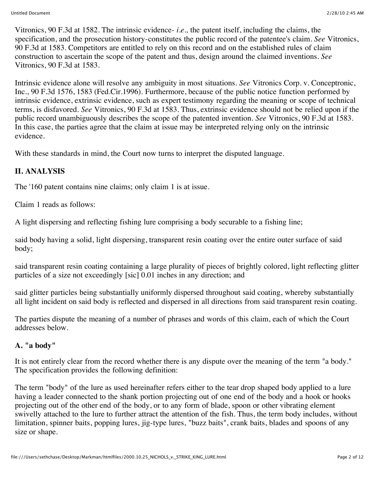Vitronics, 90 F.3d at 1582. The intrinsic evidence- *i.e.,* the patent itself, including the claims, the specification, and the prosecution history-constitutes the public record of the patentee's claim. *See* Vitronics, 90 F.3d at 1583. Competitors are entitled to rely on this record and on the established rules of claim construction to ascertain the scope of the patent and thus, design around the claimed inventions. *See* Vitronics, 90 F.3d at 1583.

Intrinsic evidence alone will resolve any ambiguity in most situations. *See* Vitronics Corp. v. Conceptronic, Inc., 90 F.3d 1576, 1583 (Fed.Cir.1996). Furthermore, because of the public notice function performed by intrinsic evidence, extrinsic evidence, such as expert testimony regarding the meaning or scope of technical terms, is disfavored. *See* Vitronics, 90 F.3d at 1583. Thus, extrinsic evidence should not be relied upon if the public record unambiguously describes the scope of the patented invention. *See* Vitronics, 90 F.3d at 1583. In this case, the parties agree that the claim at issue may be interpreted relying only on the intrinsic evidence.

With these standards in mind, the Court now turns to interpret the disputed language.

## **II. ANALYSIS**

The '160 patent contains nine claims; only claim 1 is at issue.

Claim 1 reads as follows:

A light dispersing and reflecting fishing lure comprising a body securable to a fishing line;

said body having a solid, light dispersing, transparent resin coating over the entire outer surface of said body;

said transparent resin coating containing a large plurality of pieces of brightly colored, light reflecting glitter particles of a size not exceedingly [sic] 0.01 inches in any direction; and

said glitter particles being substantially uniformly dispersed throughout said coating, whereby substantially all light incident on said body is reflected and dispersed in all directions from said transparent resin coating.

The parties dispute the meaning of a number of phrases and words of this claim, each of which the Court addresses below.

#### **A. "a body"**

It is not entirely clear from the record whether there is any dispute over the meaning of the term "a body." The specification provides the following definition:

The term "body" of the lure as used hereinafter refers either to the tear drop shaped body applied to a lure having a leader connected to the shank portion projecting out of one end of the body and a hook or hooks projecting out of the other end of the body, or to any form of blade, spoon or other vibrating element swivelly attached to the lure to further attract the attention of the fish. Thus, the term body includes, without limitation, spinner baits, popping lures, jig-type lures, "buzz baits", crank baits, blades and spoons of any size or shape.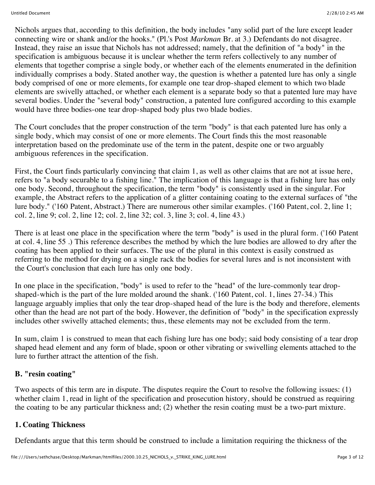Nichols argues that, according to this definition, the body includes "any solid part of the lure except leader connecting wire or shank and/or the hooks." (Pl.'s Post *Markman* Br. at 3.) Defendants do not disagree. Instead, they raise an issue that Nichols has not addressed; namely, that the definition of "a body" in the specification is ambiguous because it is unclear whether the term refers collectively to any number of elements that together comprise a single body, or whether each of the elements enumerated in the definition individually comprises a body. Stated another way, the question is whether a patented lure has only a single body comprised of one or more elements, for example one tear drop-shaped element to which two blade elements are swivelly attached, or whether each element is a separate body so that a patented lure may have several bodies. Under the "several body" construction, a patented lure configured according to this example would have three bodies-one tear drop-shaped body plus two blade bodies.

The Court concludes that the proper construction of the term "body" is that each patented lure has only a single body, which may consist of one or more elements. The Court finds this the most reasonable interpretation based on the predominate use of the term in the patent, despite one or two arguably ambiguous references in the specification.

First, the Court finds particularly convincing that claim 1, as well as other claims that are not at issue here, refers to "a body securable to a fishing line." The implication of this language is that a fishing lure has only one body. Second, throughout the specification, the term "body" is consistently used in the singular. For example, the Abstract refers to the application of a glitter containing coating to the external surfaces of "the lure body." ('160 Patent, Abstract.) There are numerous other similar examples. ('160 Patent, col. 2, line 1; col. 2, line 9; col. 2, line 12; col. 2, line 32; col. 3, line 3; col. 4, line 43.)

There is at least one place in the specification where the term "body" is used in the plural form. ('160 Patent at col. 4, line 55 .) This reference describes the method by which the lure bodies are allowed to dry after the coating has been applied to their surfaces. The use of the plural in this context is easily construed as referring to the method for drying on a single rack the bodies for several lures and is not inconsistent with the Court's conclusion that each lure has only one body.

In one place in the specification, "body" is used to refer to the "head" of the lure-commonly tear dropshaped-which is the part of the lure molded around the shank. ('160 Patent, col. 1, lines 27-34.) This language arguably implies that only the tear drop-shaped head of the lure is the body and therefore, elements other than the head are not part of the body. However, the definition of "body" in the specification expressly includes other swivelly attached elements; thus, these elements may not be excluded from the term.

In sum, claim 1 is construed to mean that each fishing lure has one body; said body consisting of a tear drop shaped head element and any form of blade, spoon or other vibrating or swivelling elements attached to the lure to further attract the attention of the fish.

#### **B. "resin coating"**

Two aspects of this term are in dispute. The disputes require the Court to resolve the following issues: (1) whether claim 1, read in light of the specification and prosecution history, should be construed as requiring the coating to be any particular thickness and; (2) whether the resin coating must be a two-part mixture.

#### **1. Coating Thickness**

Defendants argue that this term should be construed to include a limitation requiring the thickness of the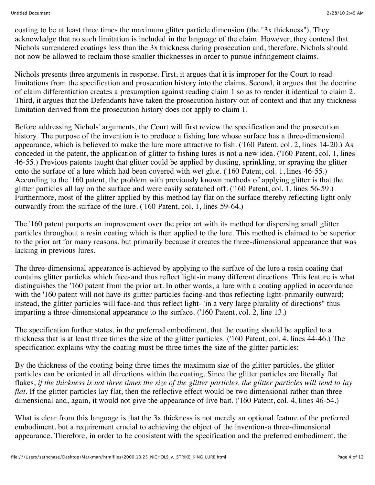coating to be at least three times the maximum glitter particle dimension (the "3x thickness"). They acknowledge that no such limitation is included in the language of the claim. However, they contend that Nichols surrendered coatings less than the 3x thickness during prosecution and, therefore, Nichols should not now be allowed to reclaim those smaller thicknesses in order to pursue infringement claims.

Nichols presents three arguments in response. First, it argues that it is improper for the Court to read limitations from the specification and prosecution history into the claims. Second, it argues that the doctrine of claim differentiation creates a presumption against reading claim 1 so as to render it identical to claim 2. Third, it argues that the Defendants have taken the prosecution history out of context and that any thickness limitation derived from the prosecution history does not apply to claim 1.

Before addressing Nichols' arguments, the Court will first review the specification and the prosecution history. The purpose of the invention is to produce a fishing lure whose surface has a three-dimensional appearance, which is believed to make the lure more attractive to fish. ('160 Patent, col. 2, lines 14-20.) As conceded in the patent, the application of glitter to fishing lures is not a new idea. ('160 Patent, col. 1, lines 46-55.) Previous patents taught that glitter could be applied by dusting, sprinkling, or spraying the glitter onto the surface of a lure which had been covered with wet glue. ('160 Patent, col. 1, lines 46-55.) According to the '160 patent, the problem with previously known methods of applying glitter is that the glitter particles all lay on the surface and were easily scratched off. ('160 Patent, col. 1, lines 56-59.) Furthermore, most of the glitter applied by this method lay flat on the surface thereby reflecting light only outwardly from the surface of the lure. ('160 Patent, col. 1, lines 59-64.)

The '160 patent purports an improvement over the prior art with its method for dispersing small glitter particles throughout a resin coating which is then applied to the lure. This method is claimed to be superior to the prior art for many reasons, but primarily because it creates the three-dimensional appearance that was lacking in previous lures.

The three-dimensional appearance is achieved by applying to the surface of the lure a resin coating that contains glitter particles which face-and thus reflect light-in many different directions. This feature is what distinguishes the '160 patent from the prior art. In other words, a lure with a coating applied in accordance with the '160 patent will not have its glitter particles facing-and thus reflecting light-primarily outward; instead, the glitter particles will face-and thus reflect light-"in a very large plurality of directions" thus imparting a three-dimensional appearance to the surface. ('160 Patent, col. 2, line 13.)

The specification further states, in the preferred embodiment, that the coating should be applied to a thickness that is at least three times the size of the glitter particles. ('160 Patent, col. 4, lines 44-46.) The specification explains why the coating must be three times the size of the glitter particles:

By the thickness of the coating being three times the maximum size of the glitter particles, the glitter particles can be oriented in all directions within the coating. Since the glitter particles are literally flat flakes, *if the thickness is not three times the size of the glitter particles, the glitter particles will tend to lay flat.* If the glitter particles lay flat, then the reflective effect would be two dimensional rather than three dimensional and, again, it would not give the appearance of live bait. ('160 Patent, col. 4, lines 46-54.)

What is clear from this language is that the 3x thickness is not merely an optional feature of the preferred embodiment, but a requirement crucial to achieving the object of the invention-a three-dimensional appearance. Therefore, in order to be consistent with the specification and the preferred embodiment, the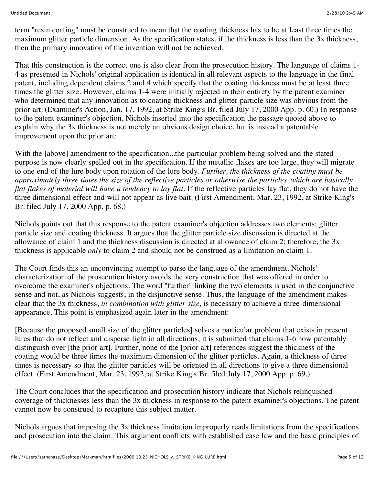term "resin coating" must be construed to mean that the coating thickness has to be at least three times the maximum glitter particle dimension. As the specification states, if the thickness is less than the 3x thickness, then the primary innovation of the invention will not be achieved.

That this construction is the correct one is also clear from the prosecution history. The language of claims 1- 4 as presented in Nichols' original application is identical in all relevant aspects to the language in the final patent, including dependent claims 2 and 4 which specify that the coating thickness must be at least three times the glitter size. However, claims 1-4 were initially rejected in their entirety by the patent examiner who determined that any innovation as to coating thickness and glitter particle size was obvious from the prior art. (Examiner's Action, Jan. 17, 1992, at Strike King's Br. filed July 17, 2000 App. p. 60.) In response to the patent examiner's objection, Nichols inserted into the specification the passage quoted above to explain why the 3x thickness is not merely an obvious design choice, but is instead a patentable improvement upon the prior art:

With the [above] amendment to the specification...the particular problem being solved and the stated purpose is now clearly spelled out in the specification. If the metallic flakes are too large, they will migrate to one end of the lure body upon rotation of the lure body. *Further, the thickness of the coating must be approximately three times the size of the reflective particles or otherwise the particles, which are basically flat flakes of material will have a tendency to lay flat.* If the reflective particles lay flat, they do not have the three dimensional effect and will not appear as live bait. (First Amendment, Mar. 23, 1992, at Strike King's Br. filed July 17, 2000 App. p. 68.)

Nichols points out that this response to the patent examiner's objection addresses two elements; glitter particle size and coating thickness. It argues that the glitter particle size discussion is directed at the allowance of claim 1 and the thickness discussion is directed at allowance of claim 2; therefore, the 3x thickness is applicable *only* to claim 2 and should not be construed as a limitation on claim 1.

The Court finds this an unconvincing attempt to parse the language of the amendment. Nichols' characterization of the prosecution history avoids the very construction that was offered in order to overcome the examiner's objections. The word "further" linking the two elements is used in the conjunctive sense and not, as Nichols suggests, in the disjunctive sense. Thus, the language of the amendment makes clear that the 3x thickness, *in combination with glitter size,* is necessary to achieve a three-dimensional appearance. This point is emphasized again later in the amendment:

[Because the proposed small size of the glitter particles] solves a particular problem that exists in present lures that do not reflect and disperse light in all directions, it is submitted that claims 1-6 now patentably distinguish over [the prior art]. Further, none of the [prior art] references suggest the thickness of the coating would be three times the maximum dimension of the glitter particles. Again, a thickness of three times is necessary so that the glitter particles will be oriented in all directions to give a three dimensional effect. (First Amendment, Mar. 23, 1992, at Strike King's Br. filed July 17, 2000 App. p. 69.)

The Court concludes that the specification and prosecution history indicate that Nichols relinquished coverage of thicknesses less than the 3x thickness in response to the patent examiner's objections. The patent cannot now be construed to recapture this subject matter.

Nichols argues that imposing the 3x thickness limitation improperly reads limitations from the specifications and prosecution into the claim. This argument conflicts with established case law and the basic principles of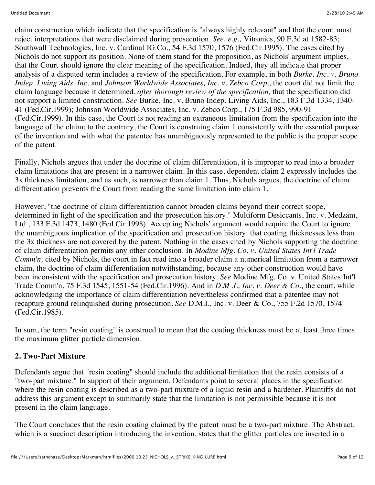claim construction which indicate that the specification is "always highly relevant" and that the court must reject interpretations that were disclaimed during prosecution. *See, e.g.,* Vitronics, 90 F.3d at 1582-83; Southwall Technologies, Inc. v. Cardinal IG Co., 54 F.3d 1570, 1576 (Fed.Cir.1995). The cases cited by Nichols do not support its position. None of them stand for the proposition, as Nichols' argument implies, that the Court should ignore the clear meaning of the specification. Indeed, they all indicate that proper analysis of a disputed term includes a review of the specification. For example, in both *Burke, Inc. v. Bruno Indep. Living Aids, Inc.* and *Johnson Worldwide Associates, Inc. v. Zebco Corp.,* the court did not limit the claim language because it determined, *after thorough review of the specification,* that the specification did not support a limited construction. *See* Burke, Inc. v. Bruno Indep. Living Aids, Inc., 183 F.3d 1334, 1340- 41 (Fed.Cir.1999); Johnson Worldwide Associates, Inc. v. Zebco Corp., 175 F.3d 985, 990-91 (Fed.Cir.1999). In this case, the Court is not reading an extraneous limitation from the specification into the language of the claim; to the contrary, the Court is construing claim 1 consistently with the essential purpose of the invention and with what the patentee has unambiguously represented to the public is the proper scope of the patent.

Finally, Nichols argues that under the doctrine of claim differentiation, it is improper to read into a broader claim limitations that are present in a narrower claim. In this case, dependent claim 2 expressly includes the 3x thickness limitation, and as such, is narrower than claim 1. Thus, Nichols argues, the doctrine of claim differentiation prevents the Court from reading the same limitation into claim 1.

However, "the doctrine of claim differentiation cannot broaden claims beyond their correct scope, determined in light of the specification and the prosecution history." Multiform Desiccants, Inc. v. Medzam, Ltd., 133 F.3d 1473, 1480 (Fed.Cir.1998). Accepting Nichols' argument would require the Court to ignore the unambiguous implication of the specification and prosecution history: that coating thicknesses less than the 3x thickness are not covered by the patent. Nothing in the cases cited by Nichols supporting the doctrine of claim differentiation permits any other conclusion. In *Modine Mfg. Co. v. United States Int'l Trade Comm'n,* cited by Nichols, the court in fact read into a broader claim a numerical limitation from a narrower claim, the doctrine of claim differentiation notwithstanding, because any other construction would have been inconsistent with the specification and prosecution history. *See* Modine Mfg. Co. v. United States Int'l Trade Comm'n, 75 F.3d 1545, 1551-54 (Fed.Cir.1996). And in *D.M .I., Inc. v. Deer & Co.,* the court, while acknowledging the importance of claim differentiation nevertheless confirmed that a patentee may not recapture ground relinquished during prosecution. *See* D.M.I., Inc. v. Deer & Co., 755 F.2d 1570, 1574 (Fed.Cir.1985).

In sum, the term "resin coating" is construed to mean that the coating thickness must be at least three times the maximum glitter particle dimension.

#### **2. Two-Part Mixture**

Defendants argue that "resin coating" should include the additional limitation that the resin consists of a "two-part mixture." In support of their argument, Defendants point to several places in the specification where the resin coating is described as a two-part mixture of a liquid resin and a hardener. Plaintiffs do not address this argument except to summarily state that the limitation is not permissible because it is not present in the claim language.

The Court concludes that the resin coating claimed by the patent must be a two-part mixture. The Abstract, which is a succinct description introducing the invention, states that the glitter particles are inserted in a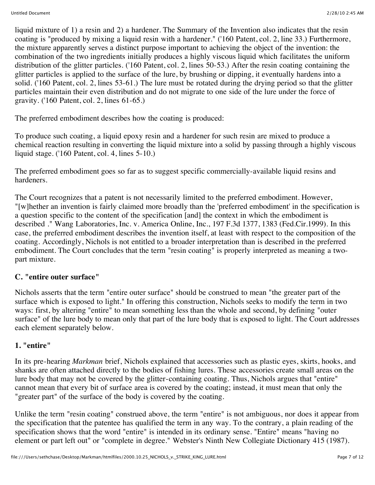liquid mixture of 1) a resin and 2) a hardener. The Summary of the Invention also indicates that the resin coating is "produced by mixing a liquid resin with a hardener." ('160 Patent, col. 2, line 33.) Furthermore, the mixture apparently serves a distinct purpose important to achieving the object of the invention: the combination of the two ingredients initially produces a highly viscous liquid which facilitates the uniform distribution of the glitter particles. ('160 Patent, col. 2, lines 50-53.) After the resin coating containing the glitter particles is applied to the surface of the lure, by brushing or dipping, it eventually hardens into a solid. ('160 Patent, col. 2, lines 53-61.) The lure must be rotated during the drying period so that the glitter particles maintain their even distribution and do not migrate to one side of the lure under the force of gravity. ('160 Patent, col. 2, lines 61-65.)

The preferred embodiment describes how the coating is produced:

To produce such coating, a liquid epoxy resin and a hardener for such resin are mixed to produce a chemical reaction resulting in converting the liquid mixture into a solid by passing through a highly viscous liquid stage. ('160 Patent, col. 4, lines 5-10.)

The preferred embodiment goes so far as to suggest specific commercially-available liquid resins and hardeners.

The Court recognizes that a patent is not necessarily limited to the preferred embodiment. However, "[w]hether an invention is fairly claimed more broadly than the 'preferred embodiment' in the specification is a question specific to the content of the specification [and] the context in which the embodiment is described ." Wang Laboratories, Inc. v. America Online, Inc., 197 F.3d 1377, 1383 (Fed.Cir.1999). In this case, the preferred embodiment describes the invention itself, at least with respect to the composition of the coating. Accordingly, Nichols is not entitled to a broader interpretation than is described in the preferred embodiment. The Court concludes that the term "resin coating" is properly interpreted as meaning a twopart mixture.

#### **C. "entire outer surface"**

Nichols asserts that the term "entire outer surface" should be construed to mean "the greater part of the surface which is exposed to light." In offering this construction, Nichols seeks to modify the term in two ways: first, by altering "entire" to mean something less than the whole and second, by defining "outer surface" of the lure body to mean only that part of the lure body that is exposed to light. The Court addresses each element separately below.

#### **1. "entire"**

In its pre-hearing *Markman* brief, Nichols explained that accessories such as plastic eyes, skirts, hooks, and shanks are often attached directly to the bodies of fishing lures. These accessories create small areas on the lure body that may not be covered by the glitter-containing coating. Thus, Nichols argues that "entire" cannot mean that every bit of surface area is covered by the coating; instead, it must mean that only the "greater part" of the surface of the body is covered by the coating.

Unlike the term "resin coating" construed above, the term "entire" is not ambiguous, nor does it appear from the specification that the patentee has qualified the term in any way. To the contrary, a plain reading of the specification shows that the word "entire" is intended in its ordinary sense. "Entire" means "having no element or part left out" or "complete in degree." Webster's Ninth New Collegiate Dictionary 415 (1987).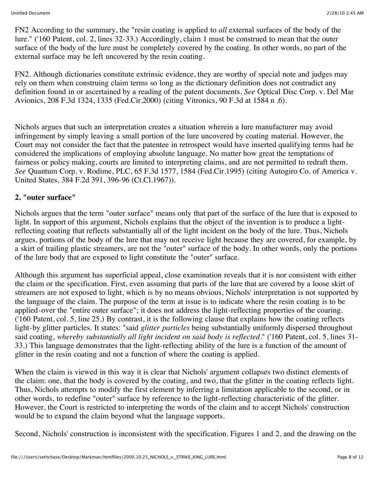FN2 According to the summary, the "resin coating is applied to *all* external surfaces of the body of the lure." ('160 Patent, col. 2, lines 32-33.) Accordingly, claim 1 must be construed to mean that the outer surface of the body of the lure must be completely covered by the coating. In other words, no part of the external surface may be left uncovered by the resin coating.

FN2. Although dictionaries constitute extrinsic evidence, they are worthy of special note and judges may rely on them when construing claim terms so long as the dictionary definition does not contradict any definition found in or ascertained by a reading of the patent documents. *See* Optical Disc Corp. v. Del Mar Avionics, 208 F.3d 1324, 1335 (Fed.Cir.2000) (citing Vitronics, 90 F.3d at 1584 n .6).

Nichols argues that such an interpretation creates a situation wherein a lure manufacturer may avoid infringement by simply leaving a small portion of the lure uncovered by coating material. However, the Court may not consider the fact that the patentee in retrospect would have inserted qualifying terms had he considered the implications of employing absolute language. No matter how great the temptations of fairness or policy making, courts are limited to interpreting claims, and are not permitted to redraft them. *See* Quantum Corp. v. Rodime, PLC, 65 F.3d 1577, 1584 (Fed.Cir.1995) (citing Autogiro Co. of America v. United States, 384 F.2d 391, 396-96 (Ct.Cl.1967)).

#### **2. "outer surface"**

Nichols argues that the term "outer surface" means only that part of the surface of the lure that is exposed to light. In support of this argument, Nichols explains that the object of the invention is to produce a lightreflecting coating that reflects substantially all of the light incident on the body of the lure. Thus, Nichols argues, portions of the body of the lure that may not receive light because they are covered, for example, by a skirt of trailing plastic streamers, are not the "outer" surface of the body. In other words, only the portions of the lure body that are exposed to light constitute the "outer" surface.

Although this argument has superficial appeal, close examination reveals that it is nor consistent with either the claim or the specification. First, even assuming that parts of the lure that are covered by a loose skirt of streamers are not exposed to light, which is by no means obvious, Nichols' interpretation is not supported by the language of the claim. The purpose of the term at issue is to indicate where the resin coating is to be applied-over the "entire outer surface"; it does not address the light-reflecting properties of the coaring. ('160 Patent, col. 5, line 25.) By contrast, it is the following clause that explains how the coating reflects light-by glitter particles. It states: "said *glitter particles* being substantially uniformly dispersed throughout said coating, *whereby substantially all light incident on said body is reflected.*" ('160 Patent, col. 5, lines 31- 33.) This language demonstrates that the light-reflecting ability of the lure is a function of the amount of glitter in the resin coating and not a function of where the coating is applied.

When the claim is viewed in this way it is clear that Nichols' argument collapses two distinct elements of the claim: one, that the body is covered by the coating, and two, that the glitter in the coating reflects light. Thus, Nichols attempts to modify the first element by inferring a limitation applicable to the second, or in other words, to redefine "outer" surface by reference to the light-reflecting characteristic of the glitter. However, the Court is restricted to interpreting the words of the claim and to accept Nichols' construction would be to expand the claim beyond what the language supports.

Second, Nichols' construction is inconsistent with the specification. Figures 1 and 2, and the drawing on the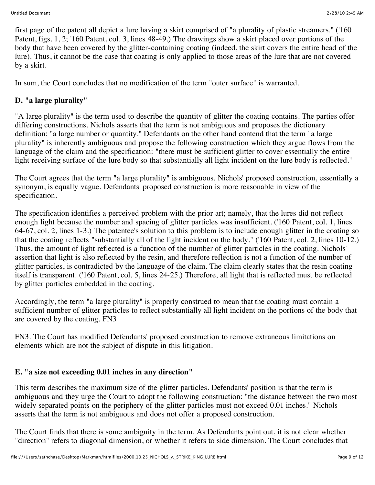first page of the patent all depict a lure having a skirt comprised of "a plurality of plastic streamers." ('160 Patent, figs. 1, 2; '160 Patent, col. 3, lines 48-49.) The drawings show a skirt placed over portions of the body that have been covered by the glitter-containing coating (indeed, the skirt covers the entire head of the lure). Thus, it cannot be the case that coating is only applied to those areas of the lure that are not covered by a skirt.

In sum, the Court concludes that no modification of the term "outer surface" is warranted.

## **D. "a large plurality"**

"A large plurality" is the term used to describe the quantity of glitter the coating contains. The parties offer differing constructions. Nichols asserts that the term is not ambiguous and proposes the dictionary definition: "a large number or quantity." Defendants on the other hand contend that the term "a large plurality" is inherently ambiguous and propose the following construction which they argue flows from the language of the claim and the specification: "there must be sufficient glitter to cover essentially the entire light receiving surface of the lure body so that substantially all light incident on the lure body is reflected."

The Court agrees that the term "a large plurality" is ambiguous. Nichols' proposed construction, essentially a synonym, is equally vague. Defendants' proposed construction is more reasonable in view of the specification.

The specification identifies a perceived problem with the prior art; namely, that the lures did not reflect enough light because the number and spacing of glitter particles was insufficient. ('160 Patent, col. 1, lines 64-67, col. 2, lines 1-3.) The patentee's solution to this problem is to include enough glitter in the coating so that the coating reflects "substantially all of the light incident on the body." ('160 Patent, col. 2, lines 10-12.) Thus, the amount of light reflected is a function of the number of glitter particles in the coating. Nichols' assertion that light is also reflected by the resin, and therefore reflection is not a function of the number of glitter particles, is contradicted by the language of the claim. The claim clearly states that the resin coating itself is transparent. ('160 Patent, col. 5, lines 24-25.) Therefore, all light that is reflected must be reflected by glitter particles embedded in the coating.

Accordingly, the term "a large plurality" is properly construed to mean that the coating must contain a sufficient number of glitter particles to reflect substantially all light incident on the portions of the body that are covered by the coating. FN3

FN3. The Court has modified Defendants' proposed construction to remove extraneous limitations on elements which are not the subject of dispute in this litigation.

#### **E. "a size not exceeding 0.01 inches in any direction"**

This term describes the maximum size of the glitter particles. Defendants' position is that the term is ambiguous and they urge the Court to adopt the following construction: "the distance between the two most widely separated points on the periphery of the glitter particles must not exceed 0.01 inches." Nichols asserts that the term is not ambiguous and does not offer a proposed construction.

The Court finds that there is some ambiguity in the term. As Defendants point out, it is not clear whether "direction" refers to diagonal dimension, or whether it refers to side dimension. The Court concludes that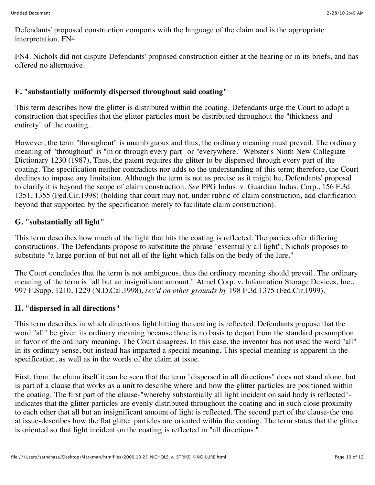Defendants' proposed construction comports with the language of the claim and is the appropriate interpretation. FN4

FN4. Nichols did not dispute Defendants' proposed construction either at the hearing or in its briefs, and has offered no alternative.

### **F. "substantially uniformly dispersed throughout said coating"**

This term describes how the glitter is distributed within the coating. Defendants urge the Court to adopt a construction that specifies that the glitter particles must be distributed throughout the "thickness and entirety" of the coating.

However, the term "throughout" is unambiguous and thus, the ordinary meaning must prevail. The ordinary meaning of "throughout" is "in or through every part" or "everywhere." Webster's Ninth New Collegiate Dictionary 1230 (1987). Thus, the patent requires the glitter to be dispersed through every part of the coating. The specification neither contradicts nor adds to the understanding of this term; therefore, the Court declines to impose any limitation. Although the term is not as precise as it might be, Defendants' proposal to clarify it is beyond the scope of claim construction. *See* PPG Indus. v. Guardian Indus. Corp., 156 F.3d 1351, 1355 (Fed.Cir.1998) (holding that court may not, under rubric of claim construction, add clarification beyond that supported by the specification merely to facilitate claim construction).

### **G. "substantially all light"**

This term describes how much of the light that hits the coating is reflected. The parties offer differing constructions. The Defendants propose to substitute the phrase "essentially all light"; Nichols proposes to substitute "a large portion of but not all of the light which falls on the body of the lure."

The Court concludes that the term is not ambiguous, thus the ordinary meaning should prevail. The ordinary meaning of the term is "all but an insignificant amount." Atmel Corp. v. Information Storage Devices, Inc., 997 F.Supp. 1210, 1229 (N.D.Cal.1998), *rev'd on other grounds by* 198 F.3d 1375 (Fed.Cir.1999).

#### **H. "dispersed in all directions"**

This term describes in which directions light hitting the coating is reflected. Defendants propose that the word "all" be given its ordinary meaning because there is no basis to depart from the standard presumption in favor of the ordinary meaning. The Court disagrees. In this case, the inventor has not used the word "all" in its ordinary sense, but instead has imparted a special meaning. This special meaning is apparent in the specification, as well as in the words of the claim at issue.

First, from the claim itself it can be seen that the term "dispersed in all directions" does not stand alone, but is part of a clause that works as a unit to describe where and how the glitter particles are positioned within the coating. The first part of the clause-"whereby substantially all light incident on said body is reflected" indicates that the glitter particles are evenly distributed throughout the coating and in such close proximity to each other that all but an insignificant amount of light is reflected. The second part of the clause-the one at issue-describes how the flat glitter particles are oriented within the coating. The term states that the glitter is oriented so that light incident on the coating is reflected in "all directions."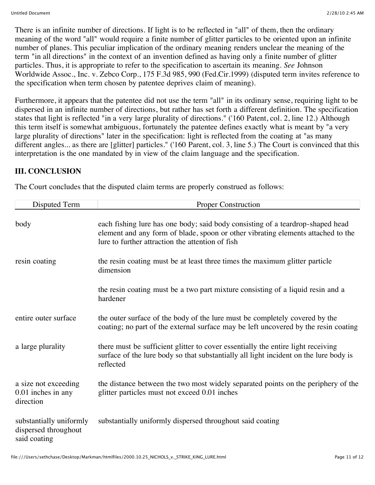There is an infinite number of directions. If light is to be reflected in "all" of them, then the ordinary meaning of the word "all" would require a finite number of glitter particles to be oriented upon an infinite number of planes. This peculiar implication of the ordinary meaning renders unclear the meaning of the term "in all directions" in the context of an invention defined as having only a finite number of glitter particles. Thus, it is appropriate to refer to the specification to ascertain its meaning. *See* Johnson Worldwide Assoc., Inc. v. Zebco Corp., 175 F.3d 985, 990 (Fed.Cir.1999) (disputed term invites reference to the specification when term chosen by patentee deprives claim of meaning).

Furthermore, it appears that the patentee did not use the term "all" in its ordinary sense, requiring light to be dispersed in an infinite number of directions, but rather has set forth a different definition. The specification states that light is reflected "in a very large plurality of directions." ('160 Patent, col. 2, line 12.) Although this term itself is somewhat ambiguous, fortunately the patentee defines exactly what is meant by "a very large plurality of directions" later in the specification: light is reflected from the coating at "as many different angles... as there are [glitter] particles." ('160 Parent, col. 3, line 5.) The Court is convinced that this interpretation is the one mandated by in view of the claim language and the specification.

#### **III. CONCLUSION**

The Court concludes that the disputed claim terms are properly construed as follows:

| Disputed Term                                                   | <b>Proper Construction</b>                                                                                                                                                                                             |
|-----------------------------------------------------------------|------------------------------------------------------------------------------------------------------------------------------------------------------------------------------------------------------------------------|
| body                                                            | each fishing lure has one body; said body consisting of a teardrop-shaped head<br>element and any form of blade, spoon or other vibrating elements attached to the<br>lure to further attraction the attention of fish |
| resin coating                                                   | the resin coating must be at least three times the maximum glitter particle<br>dimension                                                                                                                               |
|                                                                 | the resin coating must be a two part mixture consisting of a liquid resin and a<br>hardener                                                                                                                            |
| entire outer surface                                            | the outer surface of the body of the lure must be completely covered by the<br>coating; no part of the external surface may be left uncovered by the resin coating                                                     |
| a large plurality                                               | there must be sufficient glitter to cover essentially the entire light receiving<br>surface of the lure body so that substantially all light incident on the lure body is<br>reflected                                 |
| a size not exceeding<br>0.01 inches in any<br>direction         | the distance between the two most widely separated points on the periphery of the<br>glitter particles must not exceed 0.01 inches                                                                                     |
| substantially uniformly<br>dispersed throughout<br>said coating | substantially uniformly dispersed throughout said coating                                                                                                                                                              |